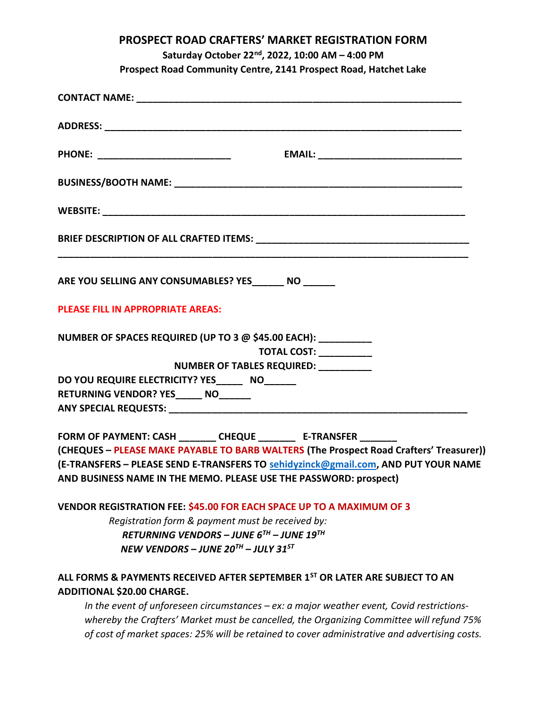# PROSPECT ROAD CRAFTERS' MARKET REGISTRATION FORM

# Saturday October 22nd, 2022, 10:00 AM – 4:00 PM

Prospect Road Community Centre, 2141 Prospect Road, Hatchet Lake

| PHONE: __________________________                                                                                             |                        |  |
|-------------------------------------------------------------------------------------------------------------------------------|------------------------|--|
|                                                                                                                               |                        |  |
|                                                                                                                               |                        |  |
|                                                                                                                               |                        |  |
| ARE YOU SELLING ANY CONSUMABLES? YES NO NO NO                                                                                 |                        |  |
| PLEASE FILL IN APPROPRIATE AREAS:                                                                                             |                        |  |
| NUMBER OF SPACES REQUIRED (UP TO 3 @ \$45.00 EACH): __________<br>NUMBER OF TABLES REQUIRED: __________                       | TOTAL COST: __________ |  |
| DO YOU REQUIRE ELECTRICITY? YES_______ NO______                                                                               |                        |  |
| RETURNING VENDOR? YES_____ NO______                                                                                           |                        |  |
|                                                                                                                               |                        |  |
| FORM OF PAYMENT: CASH ________ CHEQUE ________ E-TRANSFER _______                                                             |                        |  |
| (CHEQUES - PLEASE MAKE PAYABLE TO BARB WALTERS (The Prospect Road Crafters' Treasurer))                                       |                        |  |
| (E-TRANSFERS - PLEASE SEND E-TRANSFERS TO sehidyzinck@gmail.com, AND PUT YOUR NAME                                            |                        |  |
| AND BUSINESS NAME IN THE MEMO. PLEASE USE THE PASSWORD: prospect)                                                             |                        |  |
| <b>VENDOR REGISTRATION FEE: \$45.00 FOR EACH SPACE UP TO A MAXIMUM OF 3</b>                                                   |                        |  |
| Registration form & payment must be received by:                                                                              |                        |  |
| RETURNING VENDORS – JUNE 6 <sup>TH</sup> – JUNE 19 <sup>TH</sup>                                                              |                        |  |
| NEW VENDORS - JUNE 20 <sup>TH</sup> - JULY 31 <sup>ST</sup>                                                                   |                        |  |
| ALL FORMS & PAYMENTS RECEIVED AFTER SEPTEMBER 1 <sup>ST</sup> OR LATER ARE SUBJECT TO AN<br><b>ADDITIONAL \$20.00 CHARGE.</b> |                        |  |
| In the event of unforeseen circumstances $-ex: a$ major weather event, Covid restrictions-                                    |                        |  |
| whereby the Crafters' Market must be cancelled, the Organizing Committee will refund 75%                                      |                        |  |
| of cost of market spaces: 25% will be retained to cover administrative and advertising costs.                                 |                        |  |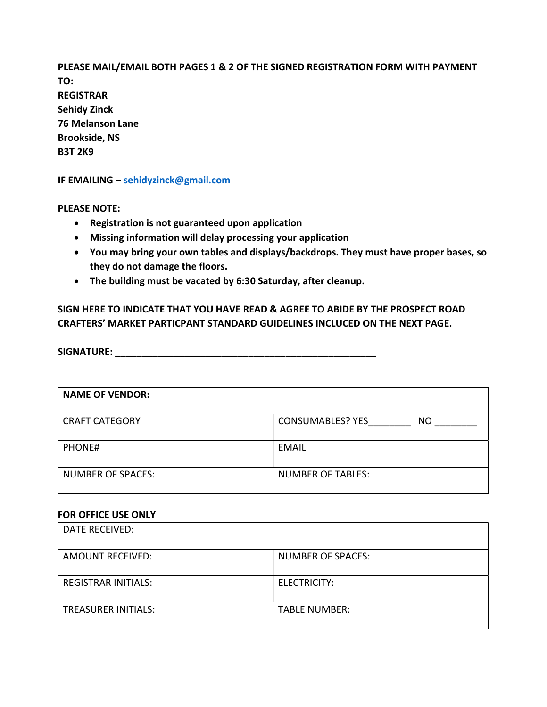PLEASE MAIL/EMAIL BOTH PAGES 1 & 2 OF THE SIGNED REGISTRATION FORM WITH PAYMENT TO: REGISTRAR Sehidy Zinck 76 Melanson Lane Brookside, NS B3T 2K9

IF EMAILING – sehidyzinck@gmail.com

PLEASE NOTE:

- Registration is not guaranteed upon application
- Missing information will delay processing your application
- You may bring your own tables and displays/backdrops. They must have proper bases, so they do not damage the floors.
- The building must be vacated by 6:30 Saturday, after cleanup.

SIGN HERE TO INDICATE THAT YOU HAVE READ & AGREE TO ABIDE BY THE PROSPECT ROAD CRAFTERS' MARKET PARTICPANT STANDARD GUIDELINES INCLUCED ON THE NEXT PAGE.

SIGNATURE: \_\_\_\_\_\_\_\_\_\_\_\_\_\_\_\_\_\_\_\_\_\_\_\_\_\_\_\_\_\_\_\_\_\_\_\_\_\_\_\_\_\_\_\_\_\_\_\_\_

| <b>NAME OF VENDOR:</b>   |                                |
|--------------------------|--------------------------------|
| <b>CRAFT CATEGORY</b>    | <b>CONSUMABLES? YES</b><br>NO. |
| PHONE#                   | <b>EMAIL</b>                   |
| <b>NUMBER OF SPACES:</b> | <b>NUMBER OF TABLES:</b>       |

#### FOR OFFICE USE ONLY

| DATE RECEIVED:             |                          |
|----------------------------|--------------------------|
| <b>AMOUNT RECEIVED:</b>    | <b>NUMBER OF SPACES:</b> |
| <b>REGISTRAR INITIALS:</b> | ELECTRICITY:             |
| <b>TREASURER INITIALS:</b> | <b>TABLE NUMBER:</b>     |